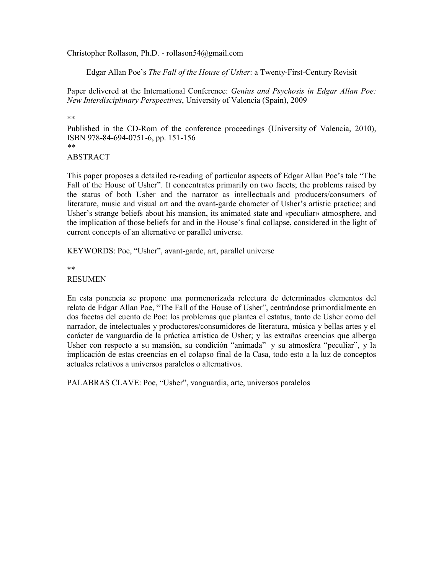Christopher Rollason, Ph.D. - rollason54@gmail.com

Edgar Allan Poe's *The Fall of the House of Usher*: a Twenty-First-Century Revisit

Paper delivered at the International Conference: *Genius and Psychosis in Edgar Allan Poe: New Interdisciplinary Perspectives*, University of Valencia (Spain), 2009

\*\*

Published in the CD-Rom of the conference proceedings (University of Valencia, 2010), ISBN 978-84-694-0751-6, pp. 151-156 *\*\**

# ABSTRACT

This paper proposes a detailed re-reading of particular aspects of Edgar Allan Poe's tale "The Fall of the House of Usher". It concentrates primarily on two facets; the problems raised by the status of both Usher and the narrator as intellectuals and producers/consumers of literature, music and visual art and the avant-garde character of Usher's artistic practice; and Usher's strange beliefs about his mansion, its animated state and «peculiar» atmosphere, and the implication of those beliefs for and in the House's final collapse, considered in the light of current concepts of an alternative or parallel universe.

KEYWORDS: Poe, "Usher", avant-garde, art, parallel universe

\*\*

RESUMEN

En esta ponencia se propone una pormenorizada relectura de determinados elementos del relato de Edgar Allan Poe, "The Fall of the House of Usher", centrándose primordialmente en dos facetas del cuento de Poe: los problemas que plantea el estatus, tanto de Usher como del narrador, de intelectuales y productores/consumidores de literatura, música y bellas artes y el carácter de vanguardia de la práctica artística de Usher; y las extrañas creencias que alberga Usher con respecto a su mansión, su condición "animada" y su atmosfera "peculiar", y la implicación de estas creencias en el colapso final de la Casa, todo esto a la luz de conceptos actuales relativos a universos paralelos o alternativos.

PALABRAS CLAVE: Poe, "Usher", vanguardia, arte, universos paralelos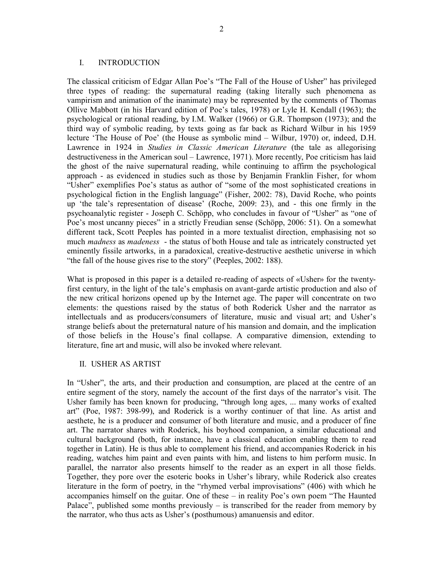#### I. INTRODUCTION

The classical criticism of Edgar Allan Poe's "The Fall of the House of Usher" has privileged three types of reading: the supernatural reading (taking literally such phenomena as vampirism and animation of the inanimate) may be represented by the comments of Thomas Ollive Mabbott (in his Harvard edition of Poe's tales, 1978) or Lyle H. Kendall (1963); the psychological or rational reading, by I.M. Walker (1966) or G.R. Thompson (1973); and the third way of symbolic reading, by texts going as far back as Richard Wilbur in his 1959 lecture 'The House of Poe' (the House as symbolic mind – Wilbur, 1970) or, indeed, D.H. Lawrence in 1924 in *Studies in Classic American Literature* (the tale as allegorising destructiveness in the American soul – Lawrence, 1971). More recently, Poe criticism has laid the ghost of the naive supernatural reading, while continuing to affirm the psychological approach - as evidenced in studies such as those by Benjamin Franklin Fisher, for whom "Usher" exemplifies Poe's status as author of "some of the most sophisticated creations in psychological fiction in the English language" (Fisher, 2002: 78), David Roche, who points up 'the tale's representation of disease' (Roche, 2009: 23), and - this one firmly in the psychoanalytic register - Joseph C. Schöpp, who concludes in favour of "Usher" as "one of Poe's most uncanny pieces" in a strictly Freudian sense (Schöpp, 2006: 51). On a somewhat different tack, Scott Peeples has pointed in a more textualist direction, emphasising not so much *madness* as *madeness* - the status of both House and tale as intricately constructed yet eminently fissile artworks, in a paradoxical, creative-destructive aesthetic universe in which "the fall of the house gives rise to the story" (Peeples, 2002: 188).

What is proposed in this paper is a detailed re-reading of aspects of «Usher» for the twentyfirst century, in the light of the tale's emphasis on avant-garde artistic production and also of the new critical horizons opened up by the Internet age. The paper will concentrate on two elements: the questions raised by the status of both Roderick Usher and the narrator as intellectuals and as producers/consumers of literature, music and visual art; and Usher's strange beliefs about the preternatural nature of his mansion and domain, and the implication of those beliefs in the House's final collapse. A comparative dimension, extending to literature, fine art and music, will also be invoked where relevant.

## II. USHER AS ARTIST

In "Usher", the arts, and their production and consumption, are placed at the centre of an entire segment of the story, namely the account of the first days of the narrator's visit. The Usher family has been known for producing, "through long ages, ... many works of exalted art" (Poe, 1987: 398-99), and Roderick is a worthy continuer of that line. As artist and aesthete, he is a producer and consumer of both literature and music, and a producer of fine art. The narrator shares with Roderick, his boyhood companion, a similar educational and cultural background (both, for instance, have a classical education enabling them to read together in Latin). He is thus able to complement his friend, and accompanies Roderick in his reading, watches him paint and even paints with him, and listens to him perform music. In parallel, the narrator also presents himself to the reader as an expert in all those fields. Together, they pore over the esoteric books in Usher's library, while Roderick also creates literature in the form of poetry, in the "rhymed verbal improvisations" (406) with which he accompanies himself on the guitar. One of these – in reality Poe's own poem "The Haunted Palace", published some months previously – is transcribed for the reader from memory by the narrator, who thus acts as Usher's (posthumous) amanuensis and editor.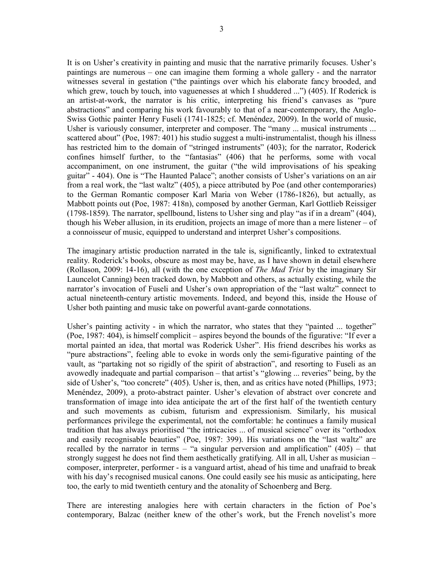It is on Usher's creativity in painting and music that the narrative primarily focuses. Usher's paintings are numerous – one can imagine them forming a whole gallery - and the narrator witnesses several in gestation ("the paintings over which his elaborate fancy brooded, and which grew, touch by touch, into vaguenesses at which I shuddered ...") (405). If Roderick is an artist-at-work, the narrator is his critic, interpreting his friend's canvases as "pure abstractions" and comparing his work favourably to that of a near-contemporary, the Anglo-Swiss Gothic painter Henry Fuseli (1741-1825; cf. Menéndez, 2009). In the world of music,

Usher is variously consumer, interpreter and composer. The "many ... musical instruments ... scattered about" (Poe, 1987: 401) his studio suggest a multi-instrumentalist, though his illness has restricted him to the domain of "stringed instruments" (403); for the narrator, Roderick confines himself further, to the "fantasias" (406) that he performs, some with vocal accompaniment, on one instrument, the guitar ("the wild improvisations of his speaking guitar" - 404). One is "The Haunted Palace"; another consists of Usher's variations on an air from a real work, the "last waltz" (405), a piece attributed by Poe (and other contemporaries) to the German Romantic composer Karl Maria von Weber (1786-1826), but actually, as Mabbott points out (Poe, 1987: 418n), composed by another German, Karl Gottlieb Reissiger (1798-1859). The narrator, spellbound, listens to Usher sing and play "as if in a dream" (404), though his Weber allusion, in its erudition, projects an image of more than a mere listener – of a connoisseur of music, equipped to understand and interpret Usher's compositions.

The imaginary artistic production narrated in the tale is, significantly, linked to extratextual reality. Roderick's books, obscure as most may be, have, as I have shown in detail elsewhere (Rollason, 2009: 14-16), all (with the one exception of *The Mad Trist* by the imaginary Sir Launcelot Canning) been tracked down, by Mabbott and others, as actually existing, while the narrator's invocation of Fuseli and Usher's own appropriation of the "last waltz" connect to actual nineteenth-century artistic movements. Indeed, and beyond this, inside the House of Usher both painting and music take on powerful avant-garde connotations.

Usher's painting activity - in which the narrator, who states that they "painted ... together" (Poe, 1987: 404), is himself complicit – aspires beyond the bounds of the figurative: "If ever a mortal painted an idea, that mortal was Roderick Usher". His friend describes his works as "pure abstractions", feeling able to evoke in words only the semi-figurative painting of the vault, as "partaking not so rigidly of the spirit of abstraction", and resorting to Fuseli as an avowedly inadequate and partial comparison – that artist's "glowing ... reveries" being, by the side of Usher's, "too concrete" (405). Usher is, then, and as critics have noted (Phillips, 1973; Menéndez, 2009), a proto-abstract painter. Usher's elevation of abstract over concrete and transformation of image into idea anticipate the art of the first half of the twentieth century and such movements as cubism, futurism and expressionism. Similarly, his musical performances privilege the experimental, not the comfortable: he continues a family musical tradition that has always prioritised "the intricacies ... of musical science" over its "orthodox and easily recognisable beauties" (Poe, 1987: 399). His variations on the "last waltz" are recalled by the narrator in terms – "a singular perversion and amplification"  $(405)$  – that strongly suggest he does not find them aesthetically gratifying. All in all, Usher as musician – composer, interpreter, performer - is a vanguard artist, ahead of his time and unafraid to break with his day's recognised musical canons. One could easily see his music as anticipating, here too, the early to mid twentieth century and the atonality of Schoenberg and Berg.

There are interesting analogies here with certain characters in the fiction of Poe's contemporary, Balzac (neither knew of the other's work, but the French novelist's more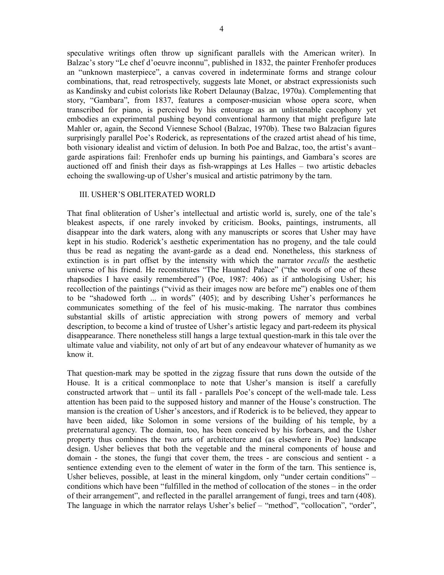speculative writings often throw up significant parallels with the American writer). In Balzac's story "Le chef d'oeuvre inconnu", published in 1832, the painter Frenhofer produces an "unknown masterpiece", a canvas covered in indeterminate forms and strange colour combinations, that, read retrospectively, suggests late Monet, or abstract expressionists such as Kandinsky and cubist colorists like Robert Delaunay (Balzac, 1970a). Complementing that story, "Gambara", from 1837, features a composer-musician whose opera score, when transcribed for piano, is perceived by his entourage as an unlistenable cacophony yet embodies an experimental pushing beyond conventional harmony that might prefigure late Mahler or, again, the Second Viennese School (Balzac, 1970b). These two Balzacian figures surprisingly parallel Poe's Roderick, as representations of the crazed artist ahead of his time, both visionary idealist and victim of delusion. In both Poe and Balzac, too, the artist's avant– garde aspirations fail: Frenhofer ends up burning his paintings, and Gambara's scores are auctioned off and finish their days as fish-wrappings at Les Halles – two artistic debacles echoing the swallowing-up of Usher's musical and artistic patrimony by the tarn.

## III. USHER'S OBLITERATED WORLD

That final obliteration of Usher's intellectual and artistic world is, surely, one of the tale's bleakest aspects, if one rarely invoked by criticism. Books, paintings, instruments, all disappear into the dark waters, along with any manuscripts or scores that Usher may have kept in his studio. Roderick's aesthetic experimentation has no progeny, and the tale could thus be read as negating the avant-garde as a dead end. Nonetheless, this starkness of extinction is in part offset by the intensity with which the narrator *recalls* the aesthetic universe of his friend. He reconstitutes "The Haunted Palace" ("the words of one of these rhapsodies I have easily remembered") (Poe, 1987: 406) as if anthologising Usher; his recollection of the paintings ("vivid as their images now are before me") enables one of them to be "shadowed forth ... in words" (405); and by describing Usher's performances he communicates something of the feel of his music-making. The narrator thus combines substantial skills of artistic appreciation with strong powers of memory and verbal description, to become a kind of trustee of Usher's artistic legacy and part-redeem its physical disappearance. There nonetheless still hangs a large textual question-mark in this tale over the ultimate value and viability, not only of art but of any endeavour whatever of humanity as we know it.

That question-mark may be spotted in the zigzag fissure that runs down the outside of the House. It is a critical commonplace to note that Usher's mansion is itself a carefully constructed artwork that – until its fall - parallels Poe's concept of the well-made tale. Less attention has been paid to the supposed history and manner of the House's construction. The mansion is the creation of Usher's ancestors, and if Roderick is to be believed, they appear to have been aided, like Solomon in some versions of the building of his temple, by a preternatural agency. The domain, too, has been conceived by his forbears, and the Usher property thus combines the two arts of architecture and (as elsewhere in Poe) landscape design. Usher believes that both the vegetable and the mineral components of house and domain - the stones, the fungi that cover them, the trees - are conscious and sentient - a sentience extending even to the element of water in the form of the tarn. This sentience is, Usher believes, possible, at least in the mineral kingdom, only "under certain conditions" – conditions which have been "fulfilled in the method of collocation of the stones – in the order of their arrangement", and reflected in the parallel arrangement of fungi, trees and tarn (408). The language in which the narrator relays Usher's belief – "method", "collocation", "order",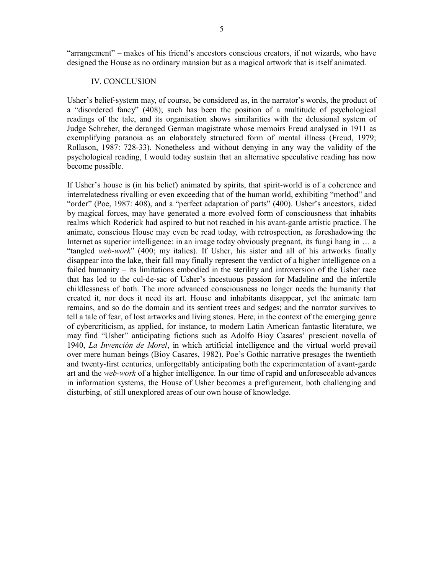"arrangement" – makes of his friend's ancestors conscious creators, if not wizards, who have designed the House as no ordinary mansion but as a magical artwork that is itself animated.

#### IV. CONCLUSION

Usher's belief-system may, of course, be considered as, in the narrator's words, the product of a "disordered fancy" (408); such has been the position of a multitude of psychological readings of the tale, and its organisation shows similarities with the delusional system of Judge Schreber, the deranged German magistrate whose memoirs Freud analysed in 1911 as exemplifying paranoia as an elaborately structured form of mental illness (Freud, 1979; Rollason, 1987: 728-33). Nonetheless and without denying in any way the validity of the psychological reading, I would today sustain that an alternative speculative reading has now become possible.

If Usher's house is (in his belief) animated by spirits, that spirit-world is of a coherence and interrelatedness rivalling or even exceeding that of the human world, exhibiting "method" and "order" (Poe, 1987: 408), and a "perfect adaptation of parts" (400). Usher's ancestors, aided by magical forces, may have generated a more evolved form of consciousness that inhabits realms which Roderick had aspired to but not reached in his avant-garde artistic practice. The animate, conscious House may even be read today, with retrospection, as foreshadowing the Internet as superior intelligence: in an image today obviously pregnant, its fungi hang in ... a "tangled *web-work*" (400; my italics). If Usher, his sister and all of his artworks finally disappear into the lake, their fall may finally represent the verdict of a higher intelligence on a failed humanity – its limitations embodied in the sterility and introversion of the Usher race that has led to the cul-de-sac of Usher's incestuous passion for Madeline and the infertile childlessness of both. The more advanced consciousness no longer needs the humanity that created it, nor does it need its art. House and inhabitants disappear, yet the animate tarn remains, and so do the domain and its sentient trees and sedges; and the narrator survives to tell a tale of fear, of lost artworks and living stones. Here, in the context of the emerging genre of cybercriticism, as applied, for instance, to modern Latin American fantastic literature, we may find "Usher" anticipating fictions such as Adolfo Bioy Casares' prescient novella of 1940, *La Invención de Morel*, in which artificial intelligence and the virtual world prevail over mere human beings (Bioy Casares, 1982). Poe's Gothic narrative presages the twentieth and twenty-first centuries, unforgettably anticipating both the experimentation of avant-garde art and the *web-work* of a higher intelligence. In our time of rapid and unforeseeable advances in information systems, the House of Usher becomes a prefigurement, both challenging and disturbing, of still unexplored areas of our own house of knowledge.